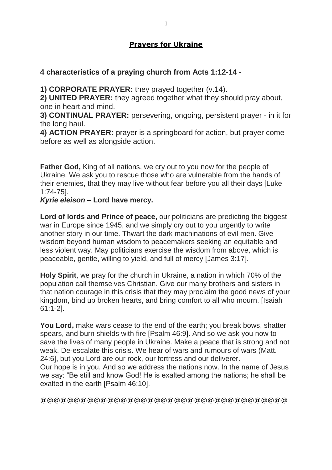# **Prayers for Ukraine**

## **4 characteristics of a praying church from Acts 1:12-14 -**

**1) CORPORATE PRAYER:** they prayed together (v.14).

**2) UNITED PRAYER:** they agreed together what they should pray about, one in heart and mind.

**3) CONTINUAL PRAYER:** persevering, ongoing, persistent prayer - in it for the long haul.

**4) ACTION PRAYER:** prayer is a springboard for action, but prayer come before as well as alongside action.

**Father God,** King of all nations, we cry out to you now for the people of Ukraine. We ask you to rescue those who are vulnerable from the hands of their enemies, that they may live without fear before you all their days [Luke 1:74-75].

*Kyrie eleison* **– Lord have mercy.**

**Lord of lords and Prince of peace,** our politicians are predicting the biggest war in Europe since 1945, and we simply cry out to you urgently to write another story in our time. Thwart the dark machinations of evil men. Give wisdom beyond human wisdom to peacemakers seeking an equitable and less violent way. May politicians exercise the wisdom from above, which is peaceable, gentle, willing to yield, and full of mercy [James 3:17].

**Holy Spirit**, we pray for the church in Ukraine, a nation in which 70% of the population call themselves Christian. Give our many brothers and sisters in that nation courage in this crisis that they may proclaim the good news of your kingdom, bind up broken hearts, and bring comfort to all who mourn. [Isaiah 61:1-2].

**You Lord,** make wars cease to the end of the earth; you break bows, shatter spears, and burn shields with fire [Psalm 46:9]. And so we ask you now to save the lives of many people in Ukraine. Make a peace that is strong and not weak. De-escalate this crisis. We hear of wars and rumours of wars (Matt. 24:6], but you Lord are our rock, our fortress and our deliverer.

Our hope is in you. And so we address the nations now. In the name of Jesus we say: "Be still and know God! He is exalted among the nations; he shall be exalted in the earth [Psalm 46:10].

@@@@@@@@@@@@@@@@@@@@@@@@@@@@@@@@@@@@@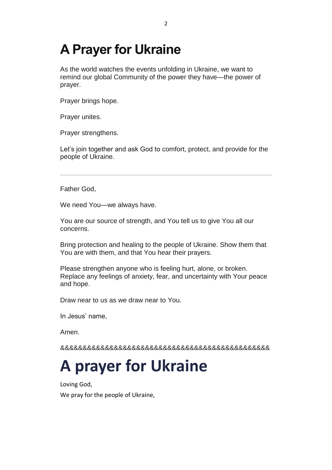# **A Prayer for Ukraine**

As the world watches the events unfolding in Ukraine, we want to remind our global Community of the power they have—the power of prayer.

Prayer brings hope.

Prayer unites.

Prayer strengthens.

Let's join together and ask God to comfort, protect, and provide for the people of Ukraine.

Father God,

We need You—we always have.

You are our source of strength, and You tell us to give You all our concerns.

Bring protection and healing to the people of Ukraine. Show them that You are with them, and that You hear their prayers.

Please strengthen anyone who is feeling hurt, alone, or broken. Replace any feelings of anxiety, fear, and uncertainty with Your peace and hope.

Draw near to us as we draw near to You.

In Jesus' name,

Amen.

&&&&&&&&&&&&&&&&&&&&&&&&&&&&&&&&&&&&&&&&&&&&&&&

# **A prayer for Ukraine**

Loving God,

We pray for the people of Ukraine,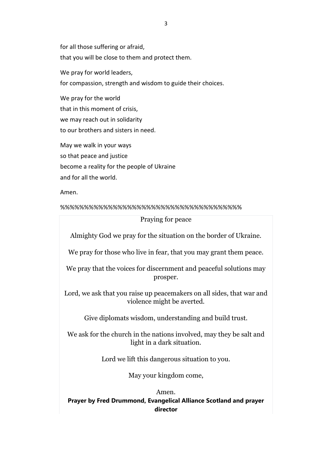for all those suffering or afraid, that you will be close to them and protect them. We pray for world leaders. for compassion, strength and wisdom to guide their choices.

We pray for the world that in this moment of crisis, we may reach out in solidarity to our brothers and sisters in need.

May we walk in your ways so that peace and justice become a reality for the people of Ukraine and for all the world.

Amen.

%%%%%%%%%%%%%%%%%%%%%%%%%%%%%%%%%%%%%%

#### Praying for peace

Almighty God we pray for the situation on the border of Ukraine.

We pray for those who live in fear, that you may grant them peace.

We pray that the voices for discernment and peaceful solutions may prosper.

Lord, we ask that you raise up peacemakers on all sides, that war and violence might be averted.

Give diplomats wisdom, understanding and build trust.

We ask for the church in the nations involved, may they be salt and light in a dark situation.

Lord we lift this dangerous situation to you.

May your kingdom come,

### Amen. **Prayer by Fred Drummond, Evangelical Alliance Scotland and prayer director**